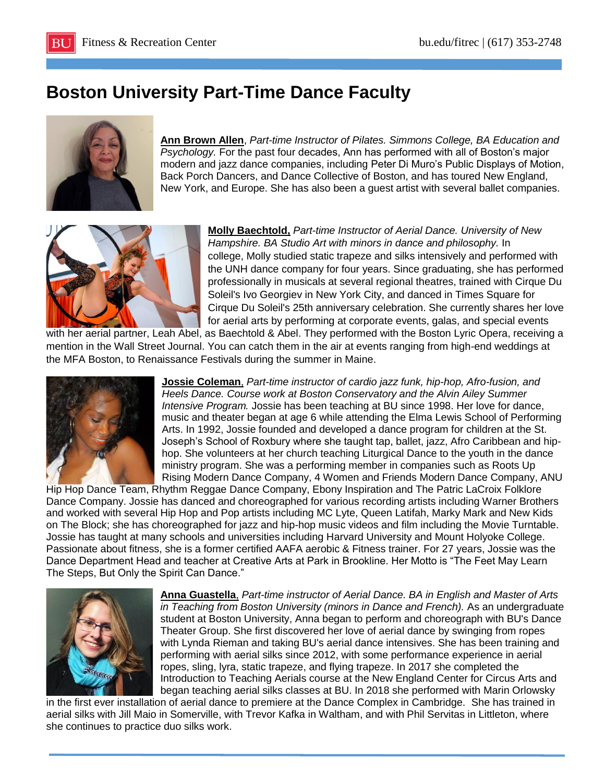## **Boston University Part-Time Dance Faculty**



**Ann Brown Allen**, *Part-time Instructor of Pilates. Simmons College, BA Education and Psychology.* For the past four decades, Ann has performed with all of Boston's major modern and jazz dance companies, including Peter Di Muro's Public Displays of Motion, Back Porch Dancers, and Dance Collective of Boston, and has toured New England, New York, and Europe. She has also been a guest artist with several ballet companies.



**Molly Baechtold,** *Part-time Instructor of Aerial Dance. University of New Hampshire. BA Studio Art with minors in dance and philosophy.* In college, Molly studied static trapeze and silks intensively and performed with the UNH dance company for four years. Since graduating, she has performed professionally in musicals at several regional theatres, trained with Cirque Du Soleil's Ivo Georgiev in New York City, and danced in Times Square for Cirque Du Soleil's 25th anniversary celebration. She currently shares her love for aerial arts by performing at corporate events, galas, and special events

with her aerial partner, Leah Abel, as Baechtold & Abel. They performed with the Boston Lyric Opera, receiving a mention in the Wall Street Journal. You can catch them in the air at events ranging from high-end weddings at the MFA Boston, to Renaissance Festivals during the summer in Maine.



**Jossie [Coleman](mailto:jazzyjoco@aol.com)**, *Part-time instructor of cardio jazz funk, hip-hop, Afro-fusion, and Heels Dance. Course work at Boston Conservatory and the Alvin Ailey Summer Intensive Program.* Jossie has been teaching at BU since 1998. Her love for dance, music and theater began at age 6 while attending the Elma Lewis School of Performing Arts. In 1992, Jossie founded and developed a dance program for children at the St. Joseph's School of Roxbury where she taught tap, ballet, jazz, Afro Caribbean and hiphop. She volunteers at her church teaching Liturgical Dance to the youth in the dance ministry program. She was a performing member in companies such as Roots Up Rising Modern Dance Company, 4 Women and Friends Modern Dance Company, ANU

Hip Hop Dance Team, Rhythm Reggae Dance Company, Ebony Inspiration and The Patric LaCroix Folklore Dance Company. Jossie has danced and choreographed for various recording artists including Warner Brothers and worked with several Hip Hop and Pop artists including MC Lyte, Queen Latifah, Marky Mark and New Kids on The Block; she has choreographed for jazz and hip-hop music videos and film including the Movie Turntable. Jossie has taught at many schools and universities including Harvard University and Mount Holyoke College. Passionate about fitness, she is a former certified AAFA aerobic & Fitness trainer. For 27 years, Jossie was the Dance Department Head and teacher at Creative Arts at Park in Brookline. Her Motto is "The Feet May Learn The Steps, But Only the Spirit Can Dance."



**[Anna Guastella](mailto:jazzyjoco@aol.com)**, *Part-time instructor of Aerial Dance. BA in English and Master of Arts in Teaching from Boston University (minors in Dance and French).* As an undergraduate student at Boston University, Anna began to perform and choreograph with BU's Dance Theater Group. She first discovered her love of aerial dance by swinging from ropes with Lynda Rieman and taking BU's aerial dance intensives. She has been training and performing with aerial silks since 2012, with some performance experience in aerial ropes, sling, lyra, static trapeze, and flying trapeze. In 2017 she completed the Introduction to Teaching Aerials course at the New England Center for Circus Arts and began teaching aerial silks classes at BU. In 2018 she performed with Marin Orlowsky

in the first ever installation of aerial dance to premiere at the Dance Complex in Cambridge. She has trained in aerial silks with Jill Maio in Somerville, with Trevor Kafka in Waltham, and with Phil Servitas in Littleton, where she continues to practice duo silks work.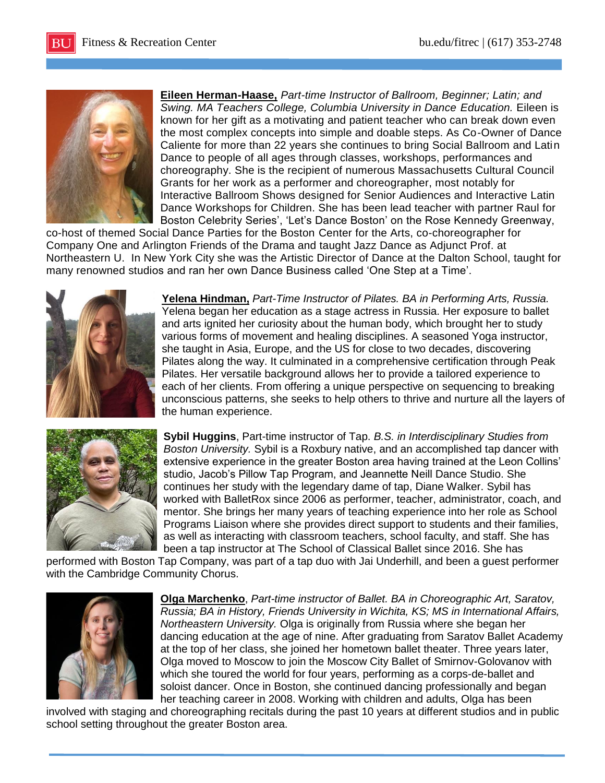

**Eileen Herman-Haase,** *Part-time Instructor of Ballroom, Beginner; Latin; and Swing. MA Teachers College, Columbia University in Dance Education.* Eileen is known for her gift as a motivating and patient teacher who can break down even the most complex concepts into simple and doable steps. As Co-Owner of Dance Caliente for more than 22 years she continues to bring Social Ballroom and Latin Dance to people of all ages through classes, workshops, performances and choreography. She is the recipient of numerous Massachusetts Cultural Council Grants for her work as a performer and choreographer, most notably for Interactive Ballroom Shows designed for Senior Audiences and Interactive Latin Dance Workshops for Children. She has been lead teacher with partner Raul for Boston Celebrity Series', 'Let's Dance Boston' on the Rose Kennedy Greenway,

co-host of themed Social Dance Parties for the Boston Center for the Arts, co-choreographer for Company One and Arlington Friends of the Drama and taught Jazz Dance as Adjunct Prof. at Northeastern U. In New York City she was the Artistic Director of Dance at the Dalton School, taught for many renowned studios and ran her own Dance Business called 'One Step at a Time'.



**Yelena Hindman,** *Part-Time Instructor of Pilates. BA in Performing Arts, Russia.* Yelena began her education as a stage actress in Russia. Her exposure to ballet and arts ignited her curiosity about the human body, which brought her to study various forms of movement and healing disciplines. A seasoned Yoga instructor, she taught in Asia, Europe, and the US for close to two decades, discovering Pilates along the way. It culminated in a comprehensive certification through Peak Pilates. Her versatile background allows her to provide a tailored experience to each of her clients. From offering a unique perspective on sequencing to breaking unconscious patterns, she seeks to help others to thrive and nurture all the layers of the human experience.



**Sybil Huggins**, Part-time instructor of Tap. *B.S. in Interdisciplinary Studies from Boston University.* Sybil is a Roxbury native, and an accomplished tap dancer with extensive experience in the greater Boston area having trained at the Leon Collins' studio, Jacob's Pillow Tap Program, and Jeannette Neill Dance Studio. She continues her study with the legendary dame of tap, Diane Walker. Sybil has worked with BalletRox since 2006 as performer, teacher, administrator, coach, and mentor. She brings her many years of teaching experience into her role as School Programs Liaison where she provides direct support to students and their families, as well as interacting with classroom teachers, school faculty, and staff. She has been a tap instructor at The School of Classical Ballet since 2016. She has

performed with Boston Tap Company, was part of a tap duo with Jai Underhill, and been a guest performer with the Cambridge Community Chorus.



**Olga Marchenko**, *Part-time instructor of Ballet. BA in Choreographic Art, Saratov, Russia; BA in History, Friends University in Wichita, KS; MS in International Affairs, Northeastern University.* Olga is originally from Russia where she began her dancing education at the age of nine. After graduating from Saratov Ballet Academy at the top of her class, she joined her hometown ballet theater. Three years later, Olga moved to Moscow to join the Moscow City Ballet of Smirnov-Golovanov with which she toured the world for four years, performing as a corps-de-ballet and soloist dancer. Once in Boston, she continued dancing professionally and began her teaching career in 2008. Working with children and adults, Olga has been

involved with staging and choreographing recitals during the past 10 years at different studios and in public school setting throughout the greater Boston area.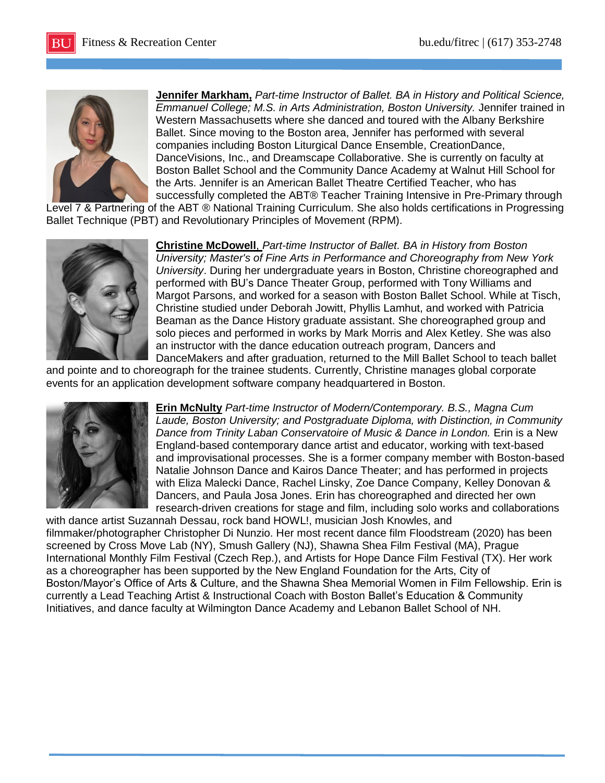

**Jennifer Markham,** *Part-time Instructor of Ballet. BA in History and Political Science, Emmanuel College; M.S. in Arts Administration, Boston University.* Jennifer trained in Western Massachusetts where she danced and toured with the Albany Berkshire Ballet. Since moving to the Boston area, Jennifer has performed with several companies including Boston Liturgical Dance Ensemble, CreationDance, DanceVisions, Inc., and Dreamscape Collaborative. She is currently on faculty at Boston Ballet School and the Community Dance Academy at Walnut Hill School for the Arts. Jennifer is an American Ballet Theatre Certified Teacher, who has successfully completed the ABT® Teacher Training Intensive in Pre-Primary through

Level 7 & Partnering of the ABT ® National Training Curriculum. She also holds certifications in Progressing Ballet Technique (PBT) and Revolutionary Principles of Movement (RPM).



**Christine McDowell**, *Part-time Instructor of Ballet. BA in History from Boston University; Master's of Fine Arts in Performance and Choreography from New York University*. During her undergraduate years in Boston, Christine choreographed and performed with BU's Dance Theater Group, performed with Tony Williams and Margot Parsons, and worked for a season with Boston Ballet School. While at Tisch, Christine studied under Deborah Jowitt, Phyllis Lamhut, and worked with Patricia Beaman as the Dance History graduate assistant. She choreographed group and solo pieces and performed in works by Mark Morris and Alex Ketley. She was also an instructor with the dance education outreach program, Dancers and DanceMakers and after graduation, returned to the Mill Ballet School to teach ballet

and pointe and to choreograph for the trainee students. Currently, Christine manages global corporate events for an application development software company headquartered in Boston.



**Erin McNulty** *Part-time Instructor of Modern/Contemporary. B.S., Magna Cum Laude, Boston University; and Postgraduate Diploma, with Distinction, in Community Dance from Trinity Laban Conservatoire of Music & Dance in London.* Erin is a New England-based contemporary dance artist and educator, working with text-based and improvisational processes. She is a former company member with Boston-based Natalie Johnson Dance and Kairos Dance Theater; and has performed in projects with Eliza Malecki Dance, Rachel Linsky, Zoe Dance Company, Kelley Donovan & Dancers, and Paula Josa Jones. Erin has choreographed and directed her own research-driven creations for stage and film, including solo works and collaborations

with dance artist Suzannah Dessau, rock band HOWL!, musician Josh Knowles, and filmmaker/photographer Christopher Di Nunzio. Her most recent dance film Floodstream (2020) has been screened by Cross Move Lab (NY), Smush Gallery (NJ), Shawna Shea Film Festival (MA), Prague International Monthly Film Festival (Czech Rep.), and Artists for Hope Dance Film Festival (TX). Her work as a choreographer has been supported by the New England Foundation for the Arts, City of Boston/Mayor's Office of Arts & Culture, and the Shawna Shea Memorial Women in Film Fellowship. Erin is currently a Lead Teaching Artist & Instructional Coach with Boston Ballet's Education & Community Initiatives, and dance faculty at Wilmington Dance Academy and Lebanon Ballet School of NH.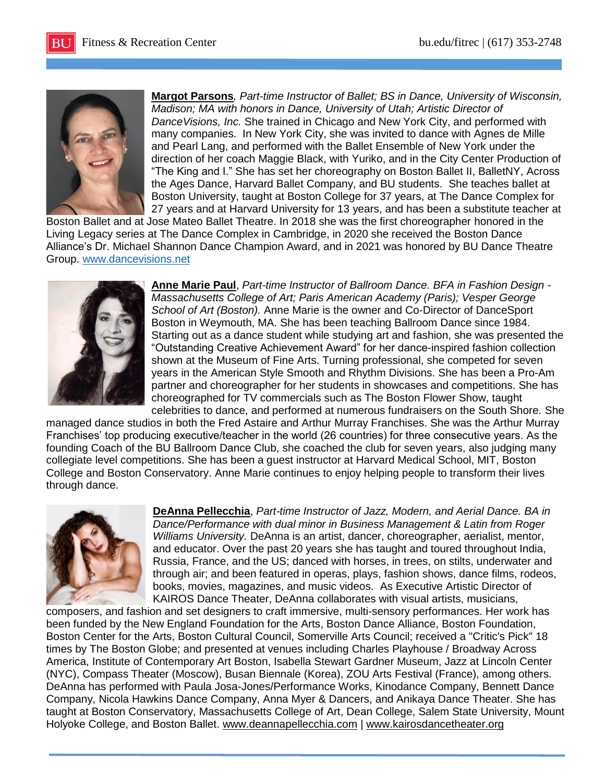

**[Margot Parsons](mailto:margotp@dancevisions.net)***, Part-time Instructor of Ballet; BS in Dance, University of Wisconsin, Madison; MA with honors in Dance, University of Utah; Artistic Director of DanceVisions, Inc.* She trained in Chicago and New York City, and performed with many companies. In New York City, she was invited to dance with Agnes de Mille and Pearl Lang, and performed with the Ballet Ensemble of New York under the direction of her coach Maggie Black, with Yuriko, and in the City Center Production of "The King and I." She has set her choreography on Boston Ballet II, BalletNY, Across the Ages Dance, Harvard Ballet Company, and BU students. She teaches ballet at Boston University, taught at Boston College for 37 years, at The Dance Complex for 27 years and at Harvard University for 13 years, and has been a substitute teacher at

Boston Ballet and at Jose Mateo Ballet Theatre. In 2018 she was the first choreographer honored in the Living Legacy series at The Dance Complex in Cambridge, in 2020 she received the Boston Dance Alliance's Dr. Michael Shannon Dance Champion Award, and in 2021 was honored by BU Dance Theatre Group. [www.dancevisions.net](http://www.dancevisions.net/)



**Anne Marie Paul**, *Part-time Instructor of Ballroom Dance. BFA in Fashion Design - Massachusetts College of Art; Paris American Academy (Paris); Vesper George School of Art (Boston).* Anne Marie is the owner and Co-Director of DanceSport Boston in Weymouth, MA. She has been teaching Ballroom Dance since 1984. Starting out as a dance student while studying art and fashion, she was presented the "Outstanding Creative Achievement Award" for her dance-inspired fashion collection shown at the Museum of Fine Arts. Turning professional, she competed for seven years in the American Style Smooth and Rhythm Divisions. She has been a Pro-Am partner and choreographer for her students in showcases and competitions. She has choreographed for TV commercials such as The Boston Flower Show, taught celebrities to dance, and performed at numerous fundraisers on the South Shore. She

managed dance studios in both the Fred Astaire and Arthur Murray Franchises. She was the Arthur Murray Franchises' top producing executive/teacher in the world (26 countries) for three consecutive years. As the founding Coach of the BU Ballroom Dance Club, she coached the club for seven years, also judging many collegiate level competitions. She has been a guest instructor at Harvard Medical School, MIT, Boston College and Boston Conservatory. Anne Marie continues to enjoy helping people to transform their lives through dance.



**[DeAnna Pellecchia](mailto:deannapellecchia@comcast.net)**, *Part-time Instructor of Jazz, Modern, and Aerial Dance. BA in Dance/Performance with dual minor in Business Management & Latin from Roger Williams University.* DeAnna is an artist, dancer, choreographer, aerialist, mentor, and educator. Over the past 20 years she has taught and toured throughout India, Russia, France, and the US; danced with horses, in trees, on stilts, underwater and through air; and been featured in operas, plays, fashion shows, dance films, rodeos, books, movies, magazines, and music videos. As Executive Artistic Director of KAIROS Dance Theater, DeAnna collaborates with visual artists, musicians,

composers, and fashion and set designers to craft immersive, multi-sensory performances. Her work has been funded by the New England Foundation for the Arts, Boston Dance Alliance, Boston Foundation, Boston Center for the Arts, Boston Cultural Council, Somerville Arts Council; received a "Critic's Pick" 18 times by The Boston Globe; and presented at venues including Charles Playhouse / Broadway Across America, Institute of Contemporary Art Boston, Isabella Stewart Gardner Museum, Jazz at Lincoln Center (NYC), Compass Theater (Moscow), Busan Biennale (Korea), ZOU Arts Festival (France), among others. DeAnna has performed with Paula Josa-Jones/Performance Works, Kinodance Company, Bennett Dance Company, Nicola Hawkins Dance Company, Anna Myer & Dancers, and Anikaya Dance Theater. She has taught at Boston Conservatory, Massachusetts College of Art, Dean College, Salem State University, Mount Holyoke College, and Boston Ballet. [www.deannapellecchia.com](http://www.deannapellecchia.com/) | [www.kairosdancetheater.org](http://www.kairosdancetheater.org/)